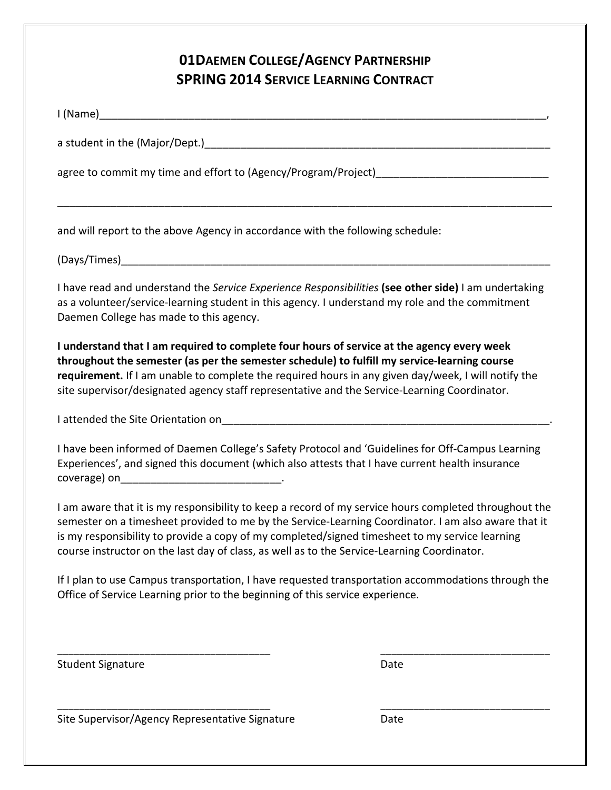# **01DAEMEN COLLEGE/AGENCY PARTNERSHIP SPRING 2014 SERVICE LEARNING CONTRACT**

| I (Name) and the state of the state of the state of the state of the state of the state of the state of the sta |  |
|-----------------------------------------------------------------------------------------------------------------|--|
| a student in the (Major/Dept.)                                                                                  |  |
| agree to commit my time and effort to (Agency/Program/Project)                                                  |  |
|                                                                                                                 |  |
|                                                                                                                 |  |

and will report to the above Agency in accordance with the following schedule:

(Days/Times)\_\_\_\_\_\_\_\_\_\_\_\_\_\_\_\_\_\_\_\_\_\_\_\_\_\_\_\_\_\_\_\_\_\_\_\_\_\_\_\_\_\_\_\_\_\_\_\_\_\_\_\_\_\_\_\_\_\_\_\_\_\_\_\_\_\_\_\_\_\_\_\_

I have read and understand the *Service Experience Responsibilities* (see other side) I am undertaking as a volunteer/service-learning student in this agency. I understand my role and the commitment Daemen College has made to this agency.

**I** understand that I am required to complete four hours of service at the agency every week throughout the semester (as per the semester schedule) to fulfill my service-learning course **requirement.** If I am unable to complete the required hours in any given day/week, I will notify the site supervisor/designated agency staff representative and the Service-Learning Coordinator.

I attended the Site Orientation on

I have been informed of Daemen College's Safety Protocol and 'Guidelines for Off-Campus Learning Experiences', and signed this document (which also attests that I have current health insurance coverage) on

I am aware that it is my responsibility to keep a record of my service hours completed throughout the semester on a timesheet provided to me by the Service-Learning Coordinator. I am also aware that it is my responsibility to provide a copy of my completed/signed timesheet to my service learning course instructor on the last day of class, as well as to the Service-Learning Coordinator.

If I plan to use Campus transportation, I have requested transportation accommodations through the Office of Service Learning prior to the beginning of this service experience.

\_\_\_\_\_\_\_\_\_\_\_\_\_\_\_\_\_\_\_\_\_\_\_\_\_\_\_\_\_\_\_\_\_\_\_\_\_\_\_ \_\_\_\_\_\_\_\_\_\_\_\_\_\_\_\_\_\_\_\_\_\_\_\_\_\_\_\_\_\_\_

\_\_\_\_\_\_\_\_\_\_\_\_\_\_\_\_\_\_\_\_\_\_\_\_\_\_\_\_\_\_\_\_\_\_\_\_\_\_\_ \_\_\_\_\_\_\_\_\_\_\_\_\_\_\_\_\_\_\_\_\_\_\_\_\_\_\_\_\_\_\_

Student Signature Date Date

Site Supervisor/Agency Representative Signature Date